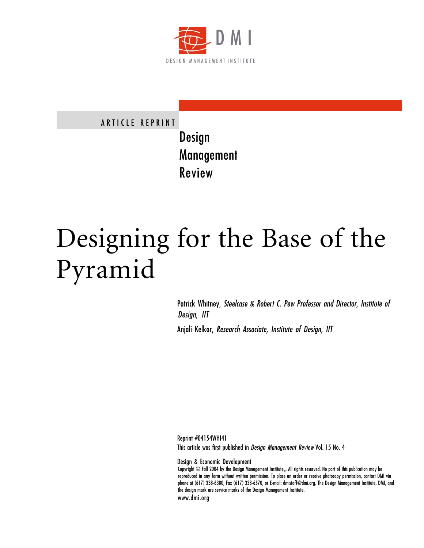

### A R T I C L E R E P R I N T

Design Management Review

## Designing for the Base of the Pyramid

Patrick Whitney, Steelcase & Robert C. Pew Professor and Director, Institute of Design, IIT

Anjali Kelkar, Research Associate, Institute of Design, IIT

Reprint #04154WHI41

This article was first published in Design Management Review Vol. 15 No. 4

#### Design & Economic Development

Copyright  $\odot$  Fall 2004 by the Design Management Institute... All rights reserved. No part of this publication may be reproduced in any form without written permission. To place an order or receive photocopy permission, contact DMI via phone at (617) 338-6380, Fax (617) 338-6570, or E-mail: dmistaff@dmi.org. The Design Management Institute, DMI, and the design mark are service marks of the Design Management Institute. www.dmi.org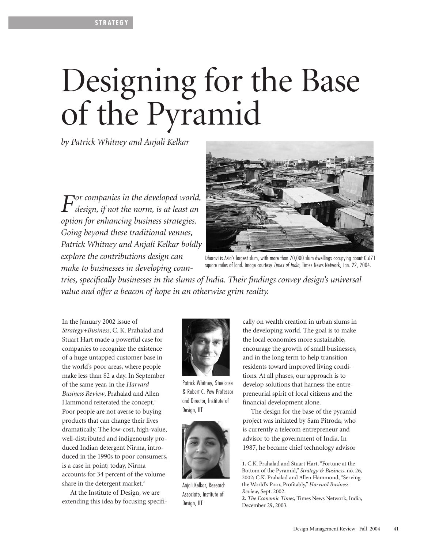# Designing for the Base of the Pyramid

*by Patrick Whitney and Anjali Kelkar*

*For companies in the developed world, design, if not the norm, is at least an option for enhancing business strategies. Going beyond these traditional venues, Patrick Whitney and Anjali Kelkar boldly explore the contributions design can make to businesses in developing coun-*



Dharavi is Asia's largest slum, with more than 70,000 slum dwellings occupying about 0.671 square miles of land. Image courtesy Times of India, Times News Network, Jan. 22, 2004.

*tries, specifically businesses in the slums of India. Their findings convey design's universal value and offer a beacon of hope in an otherwise grim reality.*

In the January 2002 issue of *Strategy+Business*, C. K. Prahalad and Stuart Hart made a powerful case for companies to recognize the existence of a huge untapped customer base in the world's poor areas, where people make less than \$2 a day. In September of the same year, in the *Harvard Business Review*, Prahalad and Allen Hammond reiterated the concept.<sup>1</sup> Poor people are not averse to buying products that can change their lives dramatically. The low-cost, high-value, well-distributed and indigenously produced Indian detergent Nirma, introduced in the 1990s to poor consumers, is a case in point; today, Nirma accounts for 34 percent of the volume share in the detergent market.<sup>2</sup>

At the Institute of Design, we are extending this idea by focusing specifi-



Patrick Whitney, Steelcase & Robert C. Pew Professor and Director, Institute of Design, IIT



Anjali Kelkar, Research Associate, Institute of Design, IIT

cally on wealth creation in urban slums in the developing world. The goal is to make the local economies more sustainable, encourage the growth of small businesses, and in the long term to help transition residents toward improved living conditions. At all phases, our approach is to develop solutions that harness the entrepreneurial spirit of local citizens and the financial development alone.

The design for the base of the pyramid project was initiated by Sam Pitroda, who is currently a telecom entrepreneur and advisor to the government of India. In 1987, he became chief technology advisor

**<sup>1.</sup>** C.K. Prahalad and Stuart Hart, "Fortune at the Bottom of the Pyramid," *Strategy & Business*, no. 26, 2002; C.K. Prahalad and Allen Hammond, "Serving the World's Poor, Profitably," *Harvard Business Review*, Sept. 2002.

**<sup>2.</sup>** *The Economic Times*, Times News Network, India, December 29, 2003.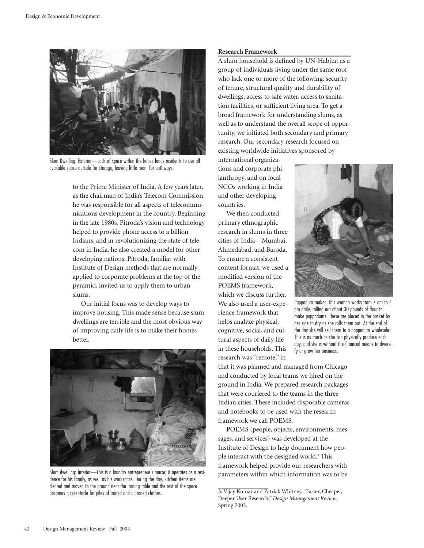

Slum Dwelling: Exterior—Lack of space within the house leads residents to use all available space outside for storage, leaving little room for pathways.

to the Prime Minister of India. A few years later, as the chairman of India's Telecom Commission, he was responsible for all aspects of telecommunications development in the country. Beginning in the late 1980s, Pitroda's vision and technology helped to provide phone access to a billion Indians, and in revolutionizing the state of telecom in India, he also created a model for other developing nations. Pitroda, familiar with Institute of Design methods that are normally applied to corporate problems at the top of the pyramid, invited us to apply them to urban slums.

Our initial focus was to develop ways to improve housing. This made sense because slum dwellings are terrible and the most obvious way of improving daily life is to make their homes better.



Slum dwelling: Interior—This is a laundry entrepreneur's house; it operates as a residence for his family, as well as his workspace. During the day, kitchen items are cleared and moved to the ground near the ironing table and the rest of the space becomes a receptacle for piles of ironed and unironed clothes.

#### **Research Framework**

A slum household is defined by UN-Habitat as a group of individuals living under the same roof who lack one or more of the following: security of tenure, structural quality and durability of dwellings, access to safe water, access to sanitation facilities, or sufficient living area. To get a broad framework for understanding slums, as well as to understand the overall scope of opportunity, we initiated both secondary and primary research. Our secondary research focused on existing worldwide initiatives sponsored by

international organizations and corporate philanthropy, and on local NGOs working in India and other developing countries.

We then conducted primary ethnographic research in slums in three cities of India—Mumbai, Ahmedabad, and Baroda. To ensure a consistent content format, we used a modified version of the POEMS framework, which we discuss further. We also used a user-experience framework that helps analyze physical, cognitive, social, and cultural aspects of daily life in these households. This research was "remote," in



Pappadum maker. This woman works from 7 am to 4 pm daily, rolling out about 30 pounds of flour to make pappadums. These are placed in the basket by her side to dry as she rolls them out. At the end of the day she will sell them to a pappadum wholesaler. This is as much as she can physically produce each day, and she is without the financial means to diversify or grow her business.

that it was planned and managed from Chicago and conducted by local teams we hired on the ground in India. We prepared research packages that were couriered to the teams in the three Indian cities. These included disposable cameras and notebooks to be used with the research framework we call POEMS.

POEMS (people, objects, environments, messages, and services) was developed at the Institute of Design to help document how people interact with the designed world.3 This framework helped provide our researchers with parameters within which information was to be

**<sup>3.</sup>** Vijay Kumar and Patrick Whitney, "Faster, Cheaper, Deeper User Research," *Design Management Review*, Spring 2003.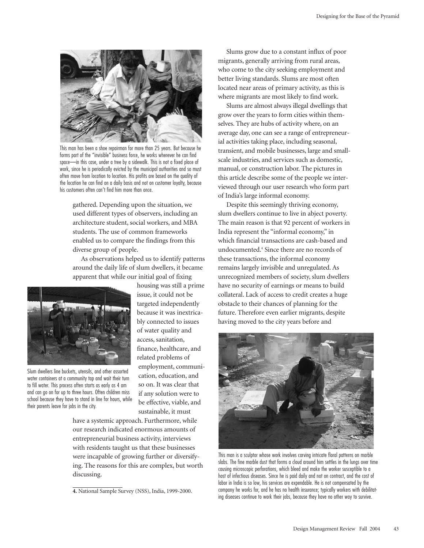

This man has been a shoe repairman for more than 25 years. But because he forms part of the "invisible" business force, he works wherever he can find space—in this case, under a tree by a sidewalk. This is not a fixed place of work, since he is periodically evicted by the municipal authorities and so must often move from location to location. His profits are based on the quality of the location he can find on a daily basis and not on customer loyalty, because his customers often can't find him more than once.

gathered. Depending upon the situation, we used different types of observers, including an architecture student, social workers, and MBA students. The use of common frameworks enabled us to compare the findings from this diverse group of people.

As observations helped us to identify patterns around the daily life of slum dwellers, it became apparent that while our initial goal of fixing



Slum dwellers line buckets, utensils, and other assorted water containers at a community tap and wait their turn to fill water. This process often starts as early as 4 am and can go on for up to three hours. Often children miss school because they have to stand in line for hours, while their parents leave for jobs in the city.

housing was still a prime issue, it could not be targeted independently because it was inextricably connected to issues of water quality and access, sanitation, finance, healthcare, and related problems of employment, communication, education, and so on. It was clear that if any solution were to be effective, viable, and sustainable, it must

have a systemic approach. Furthermore, while our research indicated enormous amounts of entrepreneurial business activity, interviews with residents taught us that these businesses were incapable of growing further or diversifying. The reasons for this are complex, but worth discussing.

Slums grow due to a constant influx of poor migrants, generally arriving from rural areas, who come to the city seeking employment and better living standards. Slums are most often located near areas of primary activity, as this is where migrants are most likely to find work.

Slums are almost always illegal dwellings that grow over the years to form cities within themselves. They are hubs of activity where, on an average day, one can see a range of entrepreneurial activities taking place, including seasonal, transient, and mobile businesses, large and smallscale industries, and services such as domestic, manual, or construction labor. The pictures in this article describe some of the people we interviewed through our user research who form part of India's large informal economy.

Despite this seemingly thriving economy, slum dwellers continue to live in abject poverty. The main reason is that 92 percent of workers in India represent the "informal economy," in which financial transactions are cash-based and undocumented.<sup>4</sup> Since there are no records of these transactions, the informal economy remains largely invisible and unregulated. As unrecognized members of society, slum dwellers have no security of earnings or means to build collateral. Lack of access to credit creates a huge obstacle to their chances of planning for the future. Therefore even earlier migrants, despite having moved to the city years before and



This man is a sculptor whose work involves carving intricate floral patterns on marble slabs. The fine marble dust that forms a cloud around him settles in the lungs over time causing microscopic perforations, which bleed and make the worker susceptible to a host of infectious diseases. Since he is paid daily and not on contract, and the cost of labor in India is so low, his services are expendable. He is not compensated by the company he works for, and he has no health insurance; typically workers with debilitating diseases continue to work their jobs, because they have no other way to survive.

**<sup>4.</sup>** National Sample Survey (NSS), India, 1999-2000.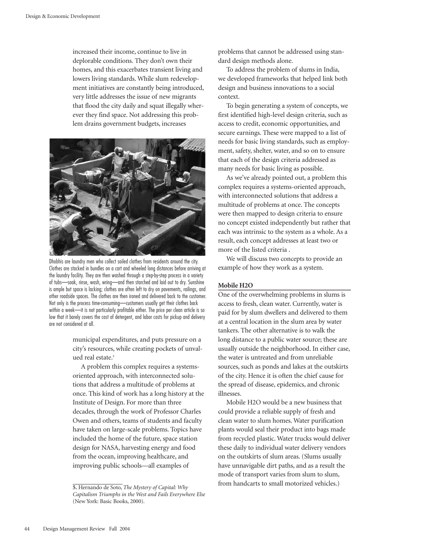increased their income, continue to live in deplorable conditions. They don't own their homes, and this exacerbates transient living and lowers living standards. While slum redevelopment initiatives are constantly being introduced, very little addresses the issue of new migrants that flood the city daily and squat illegally wherever they find space. Not addressing this problem drains government budgets, increases

![](_page_4_Picture_2.jpeg)

Dhobhis are laundry men who collect soiled clothes from residents around the city. Clothes are stacked in bundles on a cart and wheeled long distances before arriving at the laundry facility. They are then washed through a step-by-step process in a variety of tubs—soak, rinse, wash, wring—and then starched and laid out to dry. Sunshine is ample but space is lacking; clothes are often left to dry on pavements, railings, and other roadside spaces. The clothes are then ironed and delivered back to the customer. Not only is the process time-consuming—customers usually get their clothes back within a week—it is not particularly profitable either. The price per clean article is so low that it barely covers the cost of detergent, and labor costs for pickup and delivery are not considered at all.

municipal expenditures, and puts pressure on a city's resources, while creating pockets of unvalued real estate.<sup>5</sup>

A problem this complex requires a systemsoriented approach, with interconnected solutions that address a multitude of problems at once. This kind of work has a long history at the Institute of Design. For more than three decades, through the work of Professor Charles Owen and others, teams of students and faculty have taken on large-scale problems. Topics have included the home of the future, space station design for NASA, harvesting energy and food from the ocean, improving healthcare, and improving public schools—all examples of

problems that cannot be addressed using standard design methods alone.

To address the problem of slums in India, we developed frameworks that helped link both design and business innovations to a social context.

To begin generating a system of concepts, we first identified high-level design criteria, such as access to credit, economic opportunities, and secure earnings. These were mapped to a list of needs for basic living standards, such as employment, safety, shelter, water, and so on to ensure that each of the design criteria addressed as many needs for basic living as possible.

As we've already pointed out, a problem this complex requires a systems-oriented approach, with interconnected solutions that address a multitude of problems at once. The concepts were then mapped to design criteria to ensure no concept existed independently but rather that each was intrinsic to the system as a whole. As a result, each concept addresses at least two or more of the listed criteria .

We will discuss two concepts to provide an example of how they work as a system.

#### **Mobile H2O**

One of the overwhelming problems in slums is access to fresh, clean water. Currently, water is paid for by slum dwellers and delivered to them at a central location in the slum area by water tankers. The other alternative is to walk the long distance to a public water source; these are usually outside the neighborhood. In either case, the water is untreated and from unreliable sources, such as ponds and lakes at the outskirts of the city. Hence it is often the chief cause for the spread of disease, epidemics, and chronic illnesses.

Mobile H2O would be a new business that could provide a reliable supply of fresh and clean water to slum homes. Water purification plants would seal their product into bags made from recycled plastic. Water trucks would deliver these daily to individual water delivery vendors on the outskirts of slum areas. (Slums usually have unnavigable dirt paths, and as a result the mode of transport varies from slum to slum, from handcarts to small motorized vehicles.)

**<sup>5.</sup>** Hernando de Soto, *The Mystery of Capital: Why Capitalism Triumphs in the West and Fails Everywhere Else* (New York: Basic Books, 2000).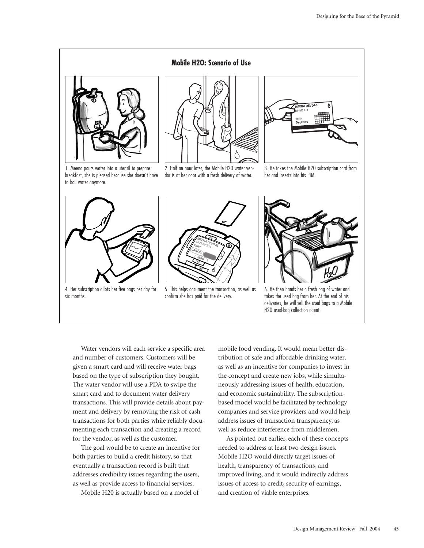![](_page_5_Figure_1.jpeg)

1. Meena pours water into a utensil to prepare breakfast, she is pleased because she doesn't have to boil water anymore.

#### **Mobile H2O: Scenario of Use**

![](_page_5_Picture_4.jpeg)

2. Half an hour later, the Mobile H2O water vendor is at her door with a fresh delivery of water.

![](_page_5_Figure_6.jpeg)

3. He takes the Mobile H2O subscription card from her and inserts into his PDA.

![](_page_5_Picture_8.jpeg)

4. Her subscription allots her five bags per day for six months.

![](_page_5_Picture_10.jpeg)

5. This helps document the transaction, as well as confirm she has paid for the delivery.

![](_page_5_Picture_12.jpeg)

6. He then hands her a fresh bag of water and takes the used bag from her. At the end of his deliveries, he will sell the used bags to a Mobile H2O used-bag collection agent.

Water vendors will each service a specific area and number of customers. Customers will be given a smart card and will receive water bags based on the type of subscription they bought. The water vendor will use a PDA to swipe the smart card and to document water delivery transactions. This will provide details about payment and delivery by removing the risk of cash transactions for both parties while reliably documenting each transaction and creating a record for the vendor, as well as the customer.

The goal would be to create an incentive for both parties to build a credit history, so that eventually a transaction record is built that addresses credibility issues regarding the users, as well as provide access to financial services.

Mobile H20 is actually based on a model of

mobile food vending. It would mean better distribution of safe and affordable drinking water, as well as an incentive for companies to invest in the concept and create new jobs, while simultaneously addressing issues of health, education, and economic sustainability. The subscriptionbased model would be facilitated by technology companies and service providers and would help address issues of transaction transparency, as well as reduce interference from middlemen.

As pointed out earlier, each of these concepts needed to address at least two design issues. Mobile H2O would directly target issues of health, transparency of transactions, and improved living, and it would indirectly address issues of access to credit, security of earnings, and creation of viable enterprises.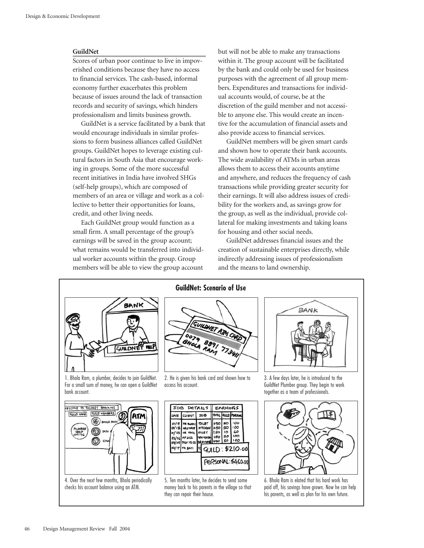#### **GuildNet**

Scores of urban poor continue to live in impoverished conditions because they have no access to financial services. The cash-based, informal economy further exacerbates this problem because of issues around the lack of transaction records and security of savings, which hinders professionalism and limits business growth.

GuildNet is a service facilitated by a bank that would encourage individuals in similar professions to form business alliances called GuildNet groups. GuildNet hopes to leverage existing cultural factors in South Asia that encourage working in groups. Some of the more successful recent initiatives in India have involved SHGs (self-help groups), which are composed of members of an area or village and work as a collective to better their opportunities for loans, credit, and other living needs.

Each GuildNet group would function as a small firm. A small percentage of the group's earnings will be saved in the group account; what remains would be transferred into individual worker accounts within the group. Group members will be able to view the group account but will not be able to make any transactions within it. The group account will be facilitated by the bank and could only be used for business purposes with the agreement of all group members. Expenditures and transactions for individual accounts would, of course, be at the discretion of the guild member and not accessible to anyone else. This would create an incentive for the accumulation of financial assets and also provide access to financial services.

GuildNet members will be given smart cards and shown how to operate their bank accounts. The wide availability of ATMs in urban areas allows them to access their accounts anytime and anywhere, and reduces the frequency of cash transactions while providing greater security for their earnings. It will also address issues of credibility for the workers and, as savings grow for the group, as well as the individual, provide collateral for making investments and taking loans for housing and other social needs.

GuildNet addresses financial issues and the creation of sustainable enterprises directly, while indirectly addressing issues of professionalism and the means to land ownership.

![](_page_6_Figure_8.jpeg)

1. Bhola Ram, a plumber, decides to join GuildNet. For a small sum of money, he can open a GuildNet bank account.

![](_page_6_Picture_10.jpeg)

4. Over the next few months, Bhola periodically checks his account balance using an ATM.

GUILANET ATM CH  $rac{1}{9679}$  $rac{889}{6}$  $77391$ 

**GuildNet: Scenario of Use**

2. He is given his bank card and shown how to access his account.

![](_page_6_Figure_14.jpeg)

5. Ten months later, he decides to send some money back to his parents in the village so that they can repair their house.

![](_page_6_Picture_16.jpeg)

3. A few days later, he is introduced to the GuildNet Plumber group. They begin to work together as a team of professionals.

![](_page_6_Picture_18.jpeg)

6. Bhola Ram is elated that his hard work has paid off, his savings have grown. Now he can help his parents, as well as plan for his own future.